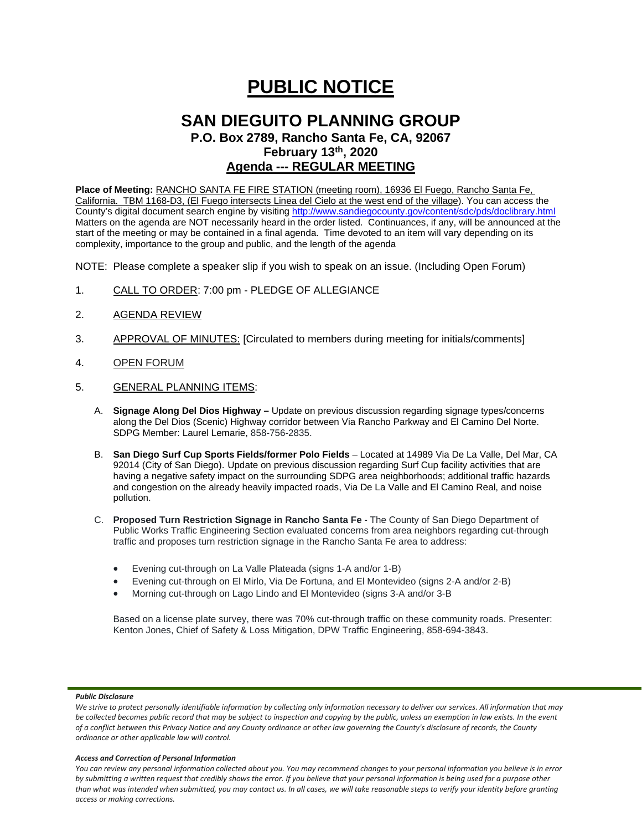# **PUBLIC NOTICE**

## **SAN DIEGUITO PLANNING GROUP**

**P.O. Box 2789, Rancho Santa Fe, CA, 92067 February 13th, 2020**

## **Agenda --- REGULAR MEETING**

**Place of Meeting:** RANCHO SANTA FE FIRE STATION (meeting room), 16936 El Fuego, Rancho Santa Fe, California. TBM 1168-D3, (El Fuego intersects Linea del Cielo at the west end of the village). You can access the County's digital document search engine by visitin[g http://www.sandiegocounty.gov/content/sdc/pds/doclibrary.html](http://www.sandiegocounty.gov/content/sdc/pds/doclibrary.html) Matters on the agenda are NOT necessarily heard in the order listed. Continuances, if any, will be announced at the start of the meeting or may be contained in a final agenda. Time devoted to an item will vary depending on its complexity, importance to the group and public, and the length of the agenda

NOTE: Please complete a speaker slip if you wish to speak on an issue. (Including Open Forum)

- 1. CALL TO ORDER: 7:00 pm PLEDGE OF ALLEGIANCE
- 2. AGENDA REVIEW
- 3. APPROVAL OF MINUTES: [Circulated to members during meeting for initials/comments]
- 4. OPEN FORUM
- 5. GENERAL PLANNING ITEMS:
	- A. **Signage Along Del Dios Highway –** Update on previous discussion regarding signage types/concerns along the Del Dios (Scenic) Highway corridor between Via Rancho Parkway and El Camino Del Norte. SDPG Member: Laurel Lemarie, 858-756-2835.
	- B. **San Diego Surf Cup Sports Fields/former Polo Fields** Located at 14989 Via De La Valle, Del Mar, CA 92014 (City of San Diego). Update on previous discussion regarding Surf Cup facility activities that are having a negative safety impact on the surrounding SDPG area neighborhoods; additional traffic hazards and congestion on the already heavily impacted roads, Via De La Valle and El Camino Real, and noise pollution.
	- C. **Proposed Turn Restriction Signage in Rancho Santa Fe** The County of San Diego Department of Public Works Traffic Engineering Section evaluated concerns from area neighbors regarding cut-through traffic and proposes turn restriction signage in the Rancho Santa Fe area to address:
		- Evening cut-through on La Valle Plateada (signs 1-A and/or 1-B)
		- Evening cut-through on El Mirlo, Via De Fortuna, and El Montevideo (signs 2-A and/or 2-B)
		- Morning cut-through on Lago Lindo and El Montevideo (signs 3-A and/or 3-B

Based on a license plate survey, there was 70% cut-through traffic on these community roads. Presenter: Kenton Jones, Chief of Safety & Loss Mitigation, DPW Traffic Engineering, 858-694-3843.

## *Public Disclosure*

#### *Access and Correction of Personal Information*

*You can review any personal information collected about you. You may recommend changes to your personal information you believe is in error by submitting a written request that credibly shows the error. If you believe that your personal information is being used for a purpose other than what was intended when submitted, you may contact us. In all cases, we will take reasonable steps to verify your identity before granting access or making corrections.*

We strive to protect personally identifiable information by collecting only information necessary to deliver our services. All information that may *be collected becomes public record that may be subject to inspection and copying by the public, unless an exemption in law exists. In the event of a conflict between this Privacy Notice and any County ordinance or other law governing the County's disclosure of records, the County ordinance or other applicable law will control.*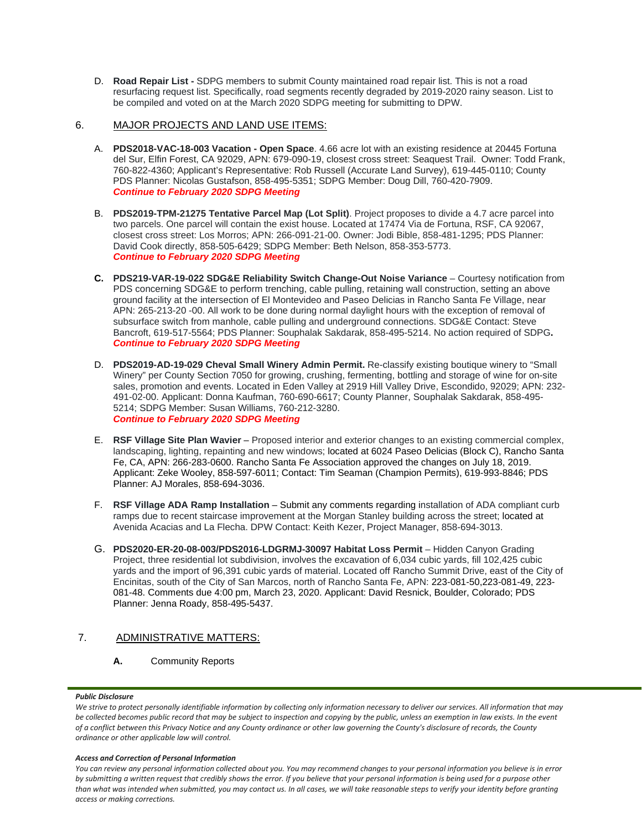D. **Road Repair List -** SDPG members to submit County maintained road repair list. This is not a road resurfacing request list. Specifically, road segments recently degraded by 2019-2020 rainy season. List to be compiled and voted on at the March 2020 SDPG meeting for submitting to DPW.

## 6. MAJOR PROJECTS AND LAND USE ITEMS:

- A. **PDS2018-VAC-18-003 Vacation - Open Space**. 4.66 acre lot with an existing residence at 20445 Fortuna del Sur, Elfin Forest, CA 92029, APN: 679-090-19, closest cross street: Seaquest Trail. Owner: Todd Frank, 760-822-4360; Applicant's Representative: Rob Russell (Accurate Land Survey), 619-445-0110; County PDS Planner: Nicolas Gustafson, 858-495-5351; SDPG Member: Doug Dill, 760-420-7909. *Continue to February 2020 SDPG Meeting*
- B. **PDS2019-TPM-21275 Tentative Parcel Map (Lot Split)**. Project proposes to divide a 4.7 acre parcel into two parcels. One parcel will contain the exist house. Located at 17474 Via de Fortuna, RSF, CA 92067, closest cross street: Los Morros; APN: 266-091-21-00. Owner: Jodi Bible, 858-481-1295; PDS Planner: David Cook directly, 858-505-6429; SDPG Member: Beth Nelson, 858-353-5773. *Continue to February 2020 SDPG Meeting*
- **C. PDS219-VAR-19-022 SDG&E Reliability Switch Change-Out Noise Variance** Courtesy notification from PDS concerning SDG&E to perform trenching, cable pulling, retaining wall construction, setting an above ground facility at the intersection of El Montevideo and Paseo Delicias in Rancho Santa Fe Village, near APN: 265-213-20 -00. All work to be done during normal daylight hours with the exception of removal of subsurface switch from manhole, cable pulling and underground connections. SDG&E Contact: Steve Bancroft, 619-517-5564; PDS Planner: Souphalak Sakdarak, 858-495-5214. No action required of SDPG**.** *Continue to February 2020 SDPG Meeting*
- D. **PDS2019-AD-19-029 Cheval Small Winery Admin Permit.** Re-classify existing boutique winery to "Small Winery" per County Section 7050 for growing, crushing, fermenting, bottling and storage of wine for on-site sales, promotion and events. Located in Eden Valley at 2919 Hill Valley Drive, Escondido, 92029; APN: 232- 491-02-00. Applicant: Donna Kaufman, 760-690-6617; County Planner, Souphalak Sakdarak, 858-495- 5214; SDPG Member: Susan Williams, 760-212-3280. *Continue to February 2020 SDPG Meeting*
- E. **RSF Village Site Plan Wavier** Proposed interior and exterior changes to an existing commercial complex, landscaping, lighting, repainting and new windows; located at 6024 Paseo Delicias (Block C), Rancho Santa Fe, CA, APN: 266-283-0600. Rancho Santa Fe Association approved the changes on July 18, 2019. Applicant: Zeke Wooley, 858-597-6011; Contact: Tim Seaman (Champion Permits), 619-993-8846; PDS Planner: AJ Morales, 858-694-3036.
- F. **RSF Village ADA Ramp Installation** Submit any comments regarding installation of ADA compliant curb ramps due to recent staircase improvement at the Morgan Stanley building across the street; located at Avenida Acacias and La Flecha. DPW Contact: Keith Kezer, Project Manager, 858-694-3013.
- G. **PDS2020-ER-20-08-003/PDS2016-LDGRMJ-30097 Habitat Loss Permit** Hidden Canyon Grading Project, three residential lot subdivision, involves the excavation of 6,034 cubic yards, fill 102,425 cubic yards and the import of 96,391 cubic yards of material. Located off Rancho Summit Drive, east of the City of Encinitas, south of the City of San Marcos, north of Rancho Santa Fe, APN: 223-081-50,223-081-49, 223- 081-48. Comments due 4:00 pm, March 23, 2020. Applicant: David Resnick, Boulder, Colorado; PDS Planner: Jenna Roady, 858-495-5437.

## 7. ADMINISTRATIVE MATTERS:

**A.** Community Reports

## *Public Disclosure*

#### *Access and Correction of Personal Information*

*You can review any personal information collected about you. You may recommend changes to your personal information you believe is in error by submitting a written request that credibly shows the error. If you believe that your personal information is being used for a purpose other than what was intended when submitted, you may contact us. In all cases, we will take reasonable steps to verify your identity before granting access or making corrections.*

We strive to protect personally identifiable information by collecting only information necessary to deliver our services. All information that may *be collected becomes public record that may be subject to inspection and copying by the public, unless an exemption in law exists. In the event of a conflict between this Privacy Notice and any County ordinance or other law governing the County's disclosure of records, the County ordinance or other applicable law will control.*